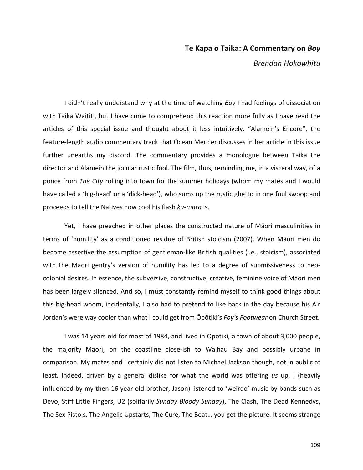# **Te Kapa o Taika: A Commentary on Boy**

*Brendan Hokowhitu*

I didn't really understand why at the time of watching *Boy* I had feelings of dissociation with Taika Waititi, but I have come to comprehend this reaction more fully as I have read the articles of this special issue and thought about it less intuitively. "Alamein's Encore", the feature-length audio commentary track that Ocean Mercier discusses in her article in this issue further unearths my discord. The commentary provides a monologue between Taika the director and Alamein the jocular rustic fool. The film, thus, reminding me, in a visceral way, of a ponce from *The City* rolling into town for the summer holidays (whom my mates and I would have called a 'big-head' or a 'dick-head'), who sums up the rustic ghetto in one foul swoop and proceeds to tell the Natives how cool his flash *ku-mara* is.

Yet, I have preached in other places the constructed nature of Māori masculinities in terms of 'humility' as a conditioned residue of British stoicism (2007). When Māori men do become assertive the assumption of gentleman-like British qualities (i.e., stoicism), associated with the Māori gentry's version of humility has led to a degree of submissiveness to neocolonial desires. In essence, the subversive, constructive, creative, feminine voice of Māori men has been largely silenced. And so, I must constantly remind myself to think good things about this big-head whom, incidentally, I also had to pretend to like back in the day because his Air Jordan's were way cooler than what I could get from Opotiki's *Foy's Footwear* on Church Street.

I was 14 years old for most of 1984, and lived in Opotiki, a town of about 3,000 people, the majority Māori, on the coastline close-ish to Waihau Bay and possibly urbane in comparison. My mates and I certainly did not listen to Michael Jackson though, not in public at least. Indeed, driven by a general dislike for what the world was offering us up, I (heavily influenced by my then 16 year old brother, Jason) listened to 'weirdo' music by bands such as Devo, Stiff Little Fingers, U2 (solitarily *Sunday Bloody Sunday*), The Clash, The Dead Kennedys, The Sex Pistols, The Angelic Upstarts, The Cure, The Beat... you get the picture. It seems strange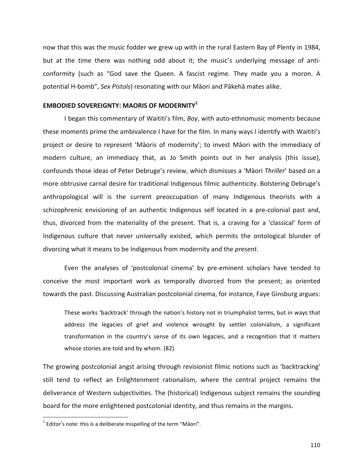now that this was the music fodder we grew up with in the rural Eastern Bay of Plenty in 1984, but at the time there was nothing odd about it; the music's underlying message of anticonformity (such as "God save the Queen. A fascist regime. They made you a moron. A potential H-bomb", Sex Pistols) resonating with our Māori and Pākehā mates alike.

# **EMBODIED SOVEREIGNTY: MAORIS OF MODERNITY<sup>1</sup>**

I began this commentary of Waititi's film, *Boy*, with auto-ethnomusic moments because these moments prime the ambivalence I have for the film. In many ways I identify with Waititi's project or desire to represent 'Māoris of modernity'; to invest Māori with the immediacy of modern culture, an immediacy that, as Jo Smith points out in her analysis (this issue), confounds those ideas of Peter Debruge's review, which dismisses a 'Māori Thriller' based on a more obtrusive carnal desire for traditional Indigenous filmic authenticity. Bolstering Debruge's anthropological will is the current preoccupation of many Indigenous theorists with a schizophrenic envisioning of an authentic Indigenous self located in a pre-colonial past and, thus, divorced from the materiality of the present. That is, a craving for a 'classical' form of Indigenous culture that never universally existed, which permits the ontological blunder of divorcing what it means to be Indigenous from modernity and the *present*.

Even the analyses of 'postcolonial cinema' by pre-eminent scholars have tended to conceive the most important work as temporally divorced from the present; as oriented towards the past. Discussing Australian postcolonial cinema, for instance, Faye Ginsburg argues:

These works 'backtrack' through the nation's history not in triumphalist terms, but in ways that address the legacies of grief and violence wrought by settler colonialism, a significant transformation in the country's sense of its own legacies, and a recognition that it matters whose stories are told and by whom. (82)

The growing postcolonial angst arising through revisionist filmic notions such as 'backtracking' still tend to reflect an Enlightenment rationalism, where the central project remains the deliverance of Western subjectivities. The (historical) Indigenous subject remains the sounding board for the more enlightened postcolonial identity, and thus remains in the margins.

 $1$  Editor's note: this is a deliberate mispelling of the term "Māori".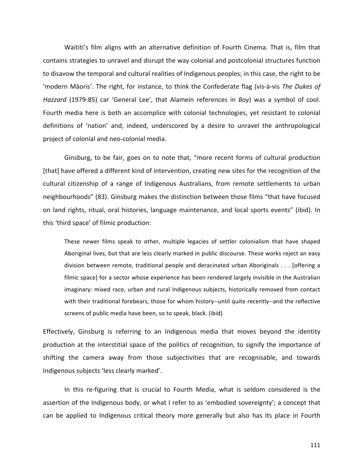Waititi's film aligns with an alternative definition of Fourth Cinema. That is, film that contains strategies to unravel and disrupt the way colonial and postcolonial structures function to disavow the temporal and cultural realities of Indigenous peoples; in this case, the right to be 'modern Māoris'. The right, for instance, to think the Confederate flag (vis-à-vis The Dukes of *Hazzard* (1979-85) car 'General Lee', that Alamein references in *Boy*) was a symbol of cool. Fourth media here is both an accomplice with colonial technologies, yet resistant to colonial definitions of 'nation' and, indeed, underscored by a desire to unravel the anthropological project of colonial and neo-colonial media.

Ginsburg, to be fair, goes on to note that, "more recent forms of cultural production [that] have offered a different kind of intervention, creating new sites for the recognition of the cultural citizenship of a range of Indigenous Australians, from remote settlements to urban neighbourhoods" (83). Ginsburg makes the distinction between those films "that have focused on land rights, ritual, oral histories, language maintenance, and local sports events" (ibid). In this 'third space' of filmic production:

These newer films speak to other, multiple legacies of settler colonialism that have shaped Aboriginal lives, but that are less clearly marked in public discourse. These works reject an easy division between remote, traditional people and deracinated urban Aboriginals . . . [offering a filmic space] for a sector whose experience has been rendered largely invisible in the Australian imaginary: mixed race, urban and rural Indigenous subjects, historically removed from contact with their traditional forebears, those for whom history--until quite recently--and the reflective screens of public media have been, so to speak, black. (ibid)

Effectively, Ginsburg is referring to an Indigenous media that moves beyond the identity production at the interstitial space of the politics of recognition, to signify the importance of shifting the camera away from those subjectivities that are recognisable, and towards Indigenous subjects 'less clearly marked'.

In this re-figuring that is crucial to Fourth Media, what is seldom considered is the assertion of the Indigenous body, or what I refer to as 'embodied sovereignty'; a concept that can be applied to Indigenous critical theory more generally but also has its place in Fourth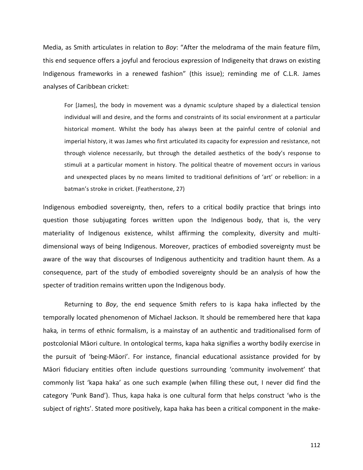Media, as Smith articulates in relation to *Boy*: "After the melodrama of the main feature film, this end sequence offers a joyful and ferocious expression of Indigeneity that draws on existing Indigenous frameworks in a renewed fashion" (this issue); reminding me of C.L.R. James analyses of Caribbean cricket:

For [James], the body in movement was a dynamic sculpture shaped by a dialectical tension individual will and desire, and the forms and constraints of its social environment at a particular historical moment. Whilst the body has always been at the painful centre of colonial and imperial history, it was James who first articulated its capacity for expression and resistance, not through violence necessarily, but through the detailed aesthetics of the body's response to stimuli at a particular moment in history. The political theatre of movement occurs in various and unexpected places by no means limited to traditional definitions of 'art' or rebellion: in a batman's stroke in cricket. (Featherstone, 27)

Indigenous embodied sovereignty, then, refers to a critical bodily practice that brings into question those subjugating forces written upon the Indigenous body, that is, the very materiality of Indigenous existence, whilst affirming the complexity, diversity and multidimensional ways of being Indigenous. Moreover, practices of embodied sovereignty must be aware of the way that discourses of Indigenous authenticity and tradition haunt them. As a consequence, part of the study of embodied sovereignty should be an analysis of how the specter of tradition remains written upon the Indigenous body.

Returning to *Boy*, the end sequence Smith refers to is kapa haka inflected by the temporally located phenomenon of Michael Jackson. It should be remembered here that kapa haka, in terms of ethnic formalism, is a mainstay of an authentic and traditionalised form of postcolonial Māori culture. In ontological terms, kapa haka signifies a worthy bodily exercise in the pursuit of 'being-Māori'. For instance, financial educational assistance provided for by Māori fiduciary entities often include questions surrounding 'community involvement' that commonly list 'kapa haka' as one such example (when filling these out, I never did find the category 'Punk Band'). Thus, kapa haka is one cultural form that helps construct 'who is the subject of rights'. Stated more positively, kapa haka has been a critical component in the make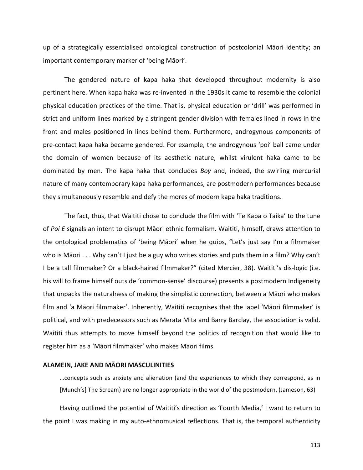up of a strategically essentialised ontological construction of postcolonial Māori identity; an important contemporary marker of 'being Māori'.

The gendered nature of kapa haka that developed throughout modernity is also pertinent here. When kapa haka was re-invented in the 1930s it came to resemble the colonial physical education practices of the time. That is, physical education or 'drill' was performed in strict and uniform lines marked by a stringent gender division with females lined in rows in the front and males positioned in lines behind them. Furthermore, androgynous components of pre-contact kapa haka became gendered. For example, the androgynous 'poi' ball came under the domain of women because of its aesthetic nature, whilst virulent haka came to be dominated by men. The kapa haka that concludes *Boy* and, indeed, the swirling mercurial nature of many contemporary kapa haka performances, are postmodern performances because they simultaneously resemble and defy the mores of modern kapa haka traditions.

The fact, thus, that Waititi chose to conclude the film with 'Te Kapa o Taika' to the tune of *Poi E* signals an intent to disrupt Māori ethnic formalism. Waititi, himself, draws attention to the ontological problematics of 'being Māori' when he quips, "Let's just say I'm a filmmaker who is Māori  $\dots$  Why can't I just be a guy who writes stories and puts them in a film? Why can't I be a tall filmmaker? Or a black-haired filmmaker?" (cited Mercier, 38). Waititi's dis-logic (i.e. his will to frame himself outside 'common-sense' discourse) presents a postmodern Indigeneity that unpacks the naturalness of making the simplistic connection, between a Māori who makes film and 'a Māori filmmaker'. Inherently, Waititi recognises that the label 'Māori filmmaker' is political, and with predecessors such as Merata Mita and Barry Barclay, the association is valid. Waititi thus attempts to move himself beyond the politics of recognition that would like to register him as a 'Māori filmmaker' who makes Māori films.

#### **ALAMEIN, JAKE AND MĀORI MASCULINITIES**

...concepts such as anxiety and alienation (and the experiences to which they correspond, as in [Munch's] The Scream) are no longer appropriate in the world of the postmodern. (Jameson, 63)

Having outlined the potential of Waititi's direction as 'Fourth Media,' I want to return to the point I was making in my auto-ethnomusical reflections. That is, the temporal authenticity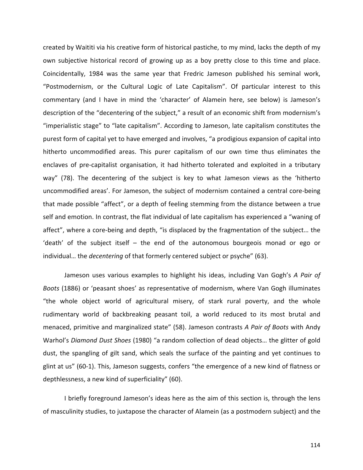created by Waititi via his creative form of historical pastiche, to my mind, lacks the depth of my own subjective historical record of growing up as a boy pretty close to this time and place. Coincidentally, 1984 was the same year that Fredric Jameson published his seminal work, "Postmodernism, or the Cultural Logic of Late Capitalism". Of particular interest to this commentary (and I have in mind the 'character' of Alamein here, see below) is Jameson's description of the "decentering of the subject," a result of an economic shift from modernism's "imperialistic stage" to "late capitalism". According to Jameson, late capitalism constitutes the purest form of capital yet to have emerged and involves, "a prodigious expansion of capital into hitherto uncommodified areas. This purer capitalism of our own time thus eliminates the enclaves of pre-capitalist organisation, it had hitherto tolerated and exploited in a tributary way" (78). The decentering of the subject is key to what Jameson views as the 'hitherto uncommodified areas'. For Jameson, the subject of modernism contained a central core-being that made possible "affect", or a depth of feeling stemming from the distance between a true self and emotion. In contrast, the flat individual of late capitalism has experienced a "waning of affect", where a core-being and depth, "is displaced by the fragmentation of the subject... the 'death' of the subject itself - the end of the autonomous bourgeois monad or ego or individual... the *decentering* of that formerly centered subject or psyche" (63).

Jameson uses various examples to highlight his ideas, including Van Gogh's A Pair of *Boots* (1886) or 'peasant shoes' as representative of modernism, where Van Gogh illuminates "the whole object world of agricultural misery, of stark rural poverty, and the whole rudimentary world of backbreaking peasant toil, a world reduced to its most brutal and menaced, primitive and marginalized state" (58). Jameson contrasts A Pair of Boots with Andy Warhol's *Diamond Dust Shoes* (1980) "a random collection of dead objects... the glitter of gold dust, the spangling of gilt sand, which seals the surface of the painting and yet continues to glint at us" (60-1). This, Jameson suggests, confers "the emergence of a new kind of flatness or depthlessness, a new kind of superficiality" (60).

I briefly foreground Jameson's ideas here as the aim of this section is, through the lens of masculinity studies, to juxtapose the character of Alamein (as a postmodern subject) and the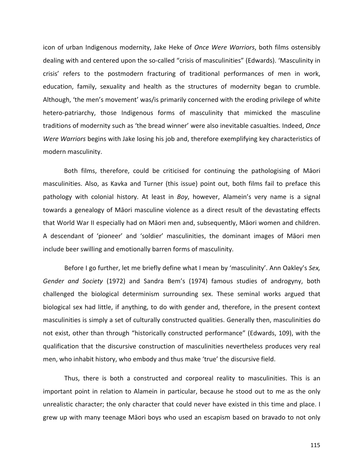icon of urban Indigenous modernity, Jake Heke of *Once Were Warriors*, both films ostensibly dealing with and centered upon the so-called "crisis of masculinities" (Edwards). 'Masculinity in crisis' refers to the postmodern fracturing of traditional performances of men in work, education, family, sexuality and health as the structures of modernity began to crumble. Although, 'the men's movement' was/is primarily concerned with the eroding privilege of white hetero-patriarchy, those Indigenous forms of masculinity that mimicked the masculine traditions of modernity such as 'the bread winner' were also inevitable casualties. Indeed, Once *Were Warriors* begins with Jake losing his job and, therefore exemplifying key characteristics of modern masculinity.

Both films, therefore, could be criticised for continuing the pathologising of Māori masculinities. Also, as Kavka and Turner (this issue) point out, both films fail to preface this pathology with colonial history. At least in *Boy*, however, Alamein's very name is a signal towards a genealogy of Māori masculine violence as a direct result of the devastating effects that World War II especially had on Māori men and, subsequently, Māori women and children. A descendant of 'pioneer' and 'soldier' masculinities, the dominant images of Māori men include beer swilling and emotionally barren forms of masculinity.

Before I go further, let me briefly define what I mean by 'masculinity'. Ann Oakley's *Sex*, *Gender and Society* (1972) and Sandra Bem's (1974) famous studies of androgyny, both challenged the biological determinism surrounding sex. These seminal works argued that biological sex had little, if anything, to do with gender and, therefore, in the present context masculinities is simply a set of culturally constructed qualities. Generally then, masculinities do not exist, other than through "historically constructed performance" (Edwards, 109), with the qualification that the discursive construction of masculinities nevertheless produces very real men, who inhabit history, who embody and thus make 'true' the discursive field.

Thus, there is both a constructed and corporeal reality to masculinities. This is an important point in relation to Alamein in particular, because he stood out to me as the only unrealistic character; the only character that could never have existed in this time and place. I grew up with many teenage Māori boys who used an escapism based on bravado to not only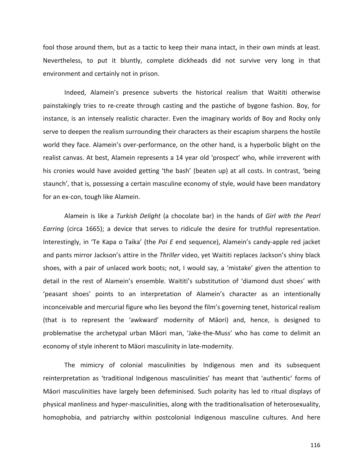fool those around them, but as a tactic to keep their mana intact, in their own minds at least. Nevertheless, to put it bluntly, complete dickheads did not survive very long in that environment and certainly not in prison.

Indeed, Alamein's presence subverts the historical realism that Waititi otherwise painstakingly tries to re-create through casting and the pastiche of bygone fashion. Boy, for instance, is an intensely realistic character. Even the imaginary worlds of Boy and Rocky only serve to deepen the realism surrounding their characters as their escapism sharpens the hostile world they face. Alamein's over-performance, on the other hand, is a hyperbolic blight on the realist canvas. At best, Alamein represents a 14 year old 'prospect' who, while irreverent with his cronies would have avoided getting 'the bash' (beaten up) at all costs. In contrast, 'being staunch', that is, possessing a certain masculine economy of style, would have been mandatory for an ex-con, tough like Alamein.

Alamein is like a *Turkish Delight* (a chocolate bar) in the hands of *Girl with the Pearl Earring* (circa 1665); a device that serves to ridicule the desire for truthful representation. Interestingly, in 'Te Kapa o Taika' (the *Poi E* end sequence), Alamein's candy-apple red jacket and pants mirror Jackson's attire in the *Thriller* video, yet Waititi replaces Jackson's shiny black shoes, with a pair of unlaced work boots; not, I would say, a 'mistake' given the attention to detail in the rest of Alamein's ensemble. Waititi's substitution of 'diamond dust shoes' with 'peasant shoes' points to an interpretation of Alamein's character as an intentionally inconceivable and mercurial figure who lies beyond the film's governing tenet, historical realism (that is to represent the 'awkward' modernity of Māori) and, hence, is designed to problematise the archetypal urban Māori man, 'Jake-the-Muss' who has come to delimit an economy of style inherent to Māori masculinity in late-modernity.

The mimicry of colonial masculinities by Indigenous men and its subsequent reinterpretation as 'traditional Indigenous masculinities' has meant that 'authentic' forms of Māori masculinities have largely been defeminised. Such polarity has led to ritual displays of physical manliness and hyper-masculinities, along with the traditionalisation of heterosexuality, homophobia, and patriarchy within postcolonial Indigenous masculine cultures. And here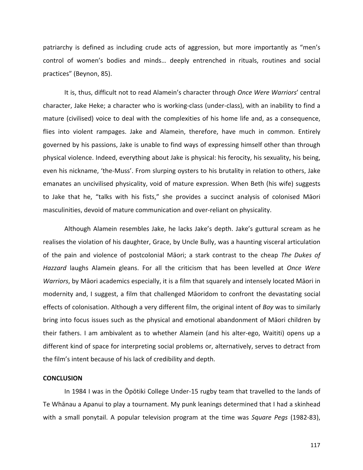patriarchy is defined as including crude acts of aggression, but more importantly as "men's control of women's bodies and minds... deeply entrenched in rituals, routines and social practices" (Beynon, 85).

It is, thus, difficult not to read Alamein's character through *Once Were Warriors'* central character, Jake Heke; a character who is working-class (under-class), with an inability to find a mature (civilised) voice to deal with the complexities of his home life and, as a consequence, flies into violent rampages. Jake and Alamein, therefore, have much in common. Entirely governed by his passions, Jake is unable to find ways of expressing himself other than through physical violence. Indeed, everything about Jake is physical: his ferocity, his sexuality, his being, even his nickname, 'the-Muss'. From slurping oysters to his brutality in relation to others, Jake emanates an uncivilised physicality, void of mature expression. When Beth (his wife) suggests to Jake that he, "talks with his fists," she provides a succinct analysis of colonised Māori masculinities, devoid of mature communication and over-reliant on physicality.

Although Alamein resembles Jake, he lacks Jake's depth. Jake's guttural scream as he realises the violation of his daughter, Grace, by Uncle Bully, was a haunting visceral articulation of the pain and violence of postcolonial Māori; a stark contrast to the cheap *The Dukes of Hazzard* laughs Alamein gleans. For all the criticism that has been levelled at Once Were *Warriors*, by Māori academics especially, it is a film that squarely and intensely located Māori in modernity and, I suggest, a film that challenged Māoridom to confront the devastating social effects of colonisation. Although a very different film, the original intent of *Boy* was to similarly bring into focus issues such as the physical and emotional abandonment of Māori children by their fathers. I am ambivalent as to whether Alamein (and his alter-ego, Waititi) opens up a different kind of space for interpreting social problems or, alternatively, serves to detract from the film's intent because of his lack of credibility and depth.

## **CONCLUSION**

In 1984 I was in the Opotiki College Under-15 rugby team that travelled to the lands of Te Whānau a Apanui to play a tournament. My punk leanings determined that I had a skinhead with a small ponytail. A popular television program at the time was Square Pegs (1982-83),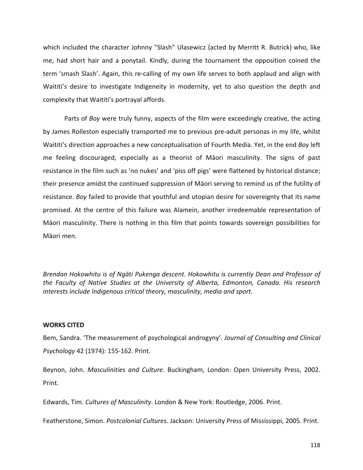which included the character Johnny "Slash" Ulasewicz (acted by Merritt R. Butrick) who, like me, had short hair and a ponytail. Kindly, during the tournament the opposition coined the term 'smash Slash'. Again, this re-calling of my own life serves to both applaud and align with Waititi's desire to investigate Indigeneity in modernity, yet to also question the depth and complexity that Waititi's portrayal affords.

Parts of *Boy* were truly funny, aspects of the film were exceedingly creative, the acting by James Rolleston especially transported me to previous pre-adult personas in my life, whilst Waititi's direction approaches a new conceptualisation of Fourth Media. Yet, in the end *Boy* left me feeling discouraged, especially as a theorist of Māori masculinity. The signs of past resistance in the film such as 'no nukes' and 'piss off pigs' were flattened by historical distance; their presence amidst the continued suppression of Māori serving to remind us of the futility of resistance. *Boy* failed to provide that youthful and utopian desire for sovereignty that its name promised. At the centre of this failure was Alamein, another irredeemable representation of Māori masculinity. There is nothing in this film that points towards sovereign possibilities for Māori men.

Brendan Hokowhitu is of Ngāti Pukenga descent. Hokowhitu is currently Dean and Professor of *the Faculty of Native Studies at the University of Alberta, Edmonton, Canada. His research* interests include Indigenous critical theory, masculinity, media and sport.

## **WORKS CITED**

Bem, Sandra. 'The measurement of psychological androgyny'. *Journal of Consulting and Clinical Psychology* 42 (1974): 155-162. Print.

Beynon, John. *Masculinities and Culture*. Buckingham, London: Open University Press, 2002. Print.

Edwards, Tim. *Cultures of Masculinity*. London & New York: Routledge, 2006. Print.

Featherstone, Simon. *Postcolonial Cultures*. Jackson: University Press of Mississippi, 2005. Print.